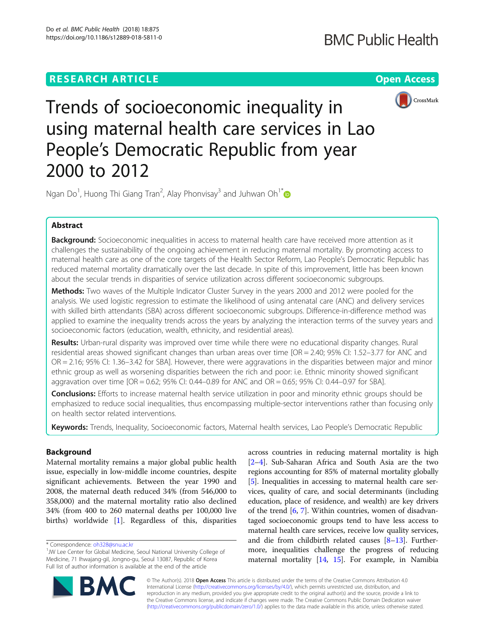## **RESEARCH ARTICLE Example 2014 12:30 The Contract of Contract ACCESS**



Trends of socioeconomic inequality in using maternal health care services in Lao People's Democratic Republic from year 2000 to 2012

Ngan Do<sup>1</sup>, Huong Thi Giang Tran<sup>2</sup>, Alay Phonvisay<sup>3</sup> and Juhwan Oh<sup>1[\\*](http://orcid.org/0000-0002-2153-4904)</sup>

## Abstract

Background: Socioeconomic inequalities in access to maternal health care have received more attention as it challenges the sustainability of the ongoing achievement in reducing maternal mortality. By promoting access to maternal health care as one of the core targets of the Health Sector Reform, Lao People's Democratic Republic has reduced maternal mortality dramatically over the last decade. In spite of this improvement, little has been known about the secular trends in disparities of service utilization across different socioeconomic subgroups.

Methods: Two waves of the Multiple Indicator Cluster Survey in the years 2000 and 2012 were pooled for the analysis. We used logistic regression to estimate the likelihood of using antenatal care (ANC) and delivery services with skilled birth attendants (SBA) across different socioeconomic subgroups. Difference-in-difference method was applied to examine the inequality trends across the years by analyzing the interaction terms of the survey years and socioeconomic factors (education, wealth, ethnicity, and residential areas).

Results: Urban-rural disparity was improved over time while there were no educational disparity changes. Rural residential areas showed significant changes than urban areas over time [OR = 2.40; 95% CI: 1.52–3.77 for ANC and OR = 2.16; 95% CI: 1.36–3.42 for SBA]. However, there were aggravations in the disparities between major and minor ethnic group as well as worsening disparities between the rich and poor: i.e. Ethnic minority showed significant aggravation over time [OR = 0.62; 95% CI: 0.44–0.89 for ANC and OR = 0.65; 95% CI: 0.44–0.97 for SBA].

Conclusions: Efforts to increase maternal health service utilization in poor and minority ethnic groups should be emphasized to reduce social inequalities, thus encompassing multiple-sector interventions rather than focusing only on health sector related interventions.

Keywords: Trends, Inequality, Socioeconomic factors, Maternal health services, Lao People's Democratic Republic

## Background

Maternal mortality remains a major global public health issue, especially in low-middle income countries, despite significant achievements. Between the year 1990 and 2008, the maternal death reduced 34% (from 546,000 to 358,000) and the maternal mortality ratio also declined 34% (from 400 to 260 maternal deaths per 100,000 live births) worldwide [\[1\]](#page-6-0). Regardless of this, disparities

across countries in reducing maternal mortality is high [[2](#page-6-0)–[4](#page-6-0)]. Sub-Saharan Africa and South Asia are the two regions accounting for 85% of maternal mortality globally [[5\]](#page-6-0). Inequalities in accessing to maternal health care services, quality of care, and social determinants (including education, place of residence, and wealth) are key drivers of the trend  $[6, 7]$  $[6, 7]$  $[6, 7]$  $[6, 7]$ . Within countries, women of disadvantaged socioeconomic groups tend to have less access to maternal health care services, receive low quality services, and die from childbirth related causes  $[8-13]$  $[8-13]$  $[8-13]$  $[8-13]$  $[8-13]$ . Furthermore, inequalities challenge the progress of reducing maternal mortality [[14](#page-6-0), [15\]](#page-6-0). For example, in Namibia



© The Author(s). 2018 Open Access This article is distributed under the terms of the Creative Commons Attribution 4.0 International License [\(http://creativecommons.org/licenses/by/4.0/](http://creativecommons.org/licenses/by/4.0/)), which permits unrestricted use, distribution, and reproduction in any medium, provided you give appropriate credit to the original author(s) and the source, provide a link to the Creative Commons license, and indicate if changes were made. The Creative Commons Public Domain Dedication waiver [\(http://creativecommons.org/publicdomain/zero/1.0/](http://creativecommons.org/publicdomain/zero/1.0/)) applies to the data made available in this article, unless otherwise stated.

<sup>\*</sup> Correspondence: [oh328@snu.ac.kr](mailto:oh328@snu.ac.kr) <sup>1</sup>

<sup>&</sup>lt;sup>1</sup>JW Lee Center for Global Medicine, Seoul National University College of Medicine, 71 Ihwajang-gil, Jongno-gu, Seoul 13087, Republic of Korea Full list of author information is available at the end of the article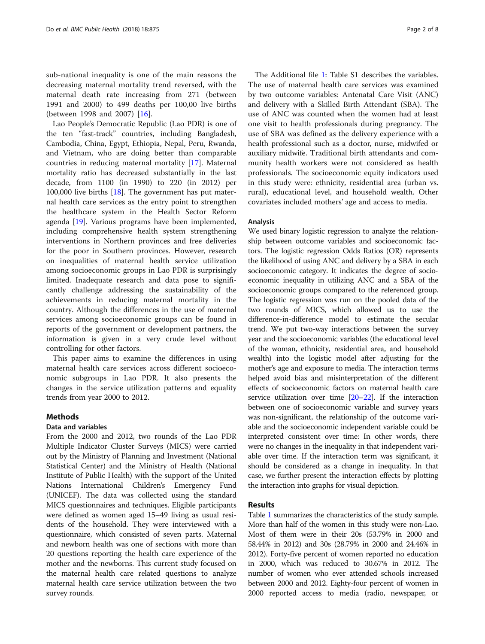sub-national inequality is one of the main reasons the decreasing maternal mortality trend reversed, with the maternal death rate increasing from 271 (between 1991 and 2000) to 499 deaths per 100,00 live births (between 1998 and 2007) [[16\]](#page-6-0).

Lao People's Democratic Republic (Lao PDR) is one of the ten "fast-track" countries, including Bangladesh, Cambodia, China, Egypt, Ethiopia, Nepal, Peru, Rwanda, and Vietnam, who are doing better than comparable countries in reducing maternal mortality [\[17](#page-6-0)]. Maternal mortality ratio has decreased substantially in the last decade, from 1100 (in 1990) to 220 (in 2012) per 100,000 live births [\[18\]](#page-6-0). The government has put maternal health care services as the entry point to strengthen the healthcare system in the Health Sector Reform agenda [\[19](#page-6-0)]. Various programs have been implemented, including comprehensive health system strengthening interventions in Northern provinces and free deliveries for the poor in Southern provinces. However, research on inequalities of maternal health service utilization among socioeconomic groups in Lao PDR is surprisingly limited. Inadequate research and data pose to significantly challenge addressing the sustainability of the achievements in reducing maternal mortality in the country. Although the differences in the use of maternal services among socioeconomic groups can be found in reports of the government or development partners, the information is given in a very crude level without controlling for other factors.

This paper aims to examine the differences in using maternal health care services across different socioeconomic subgroups in Lao PDR. It also presents the changes in the service utilization patterns and equality trends from year 2000 to 2012.

## **Methods**

#### Data and variables

From the 2000 and 2012, two rounds of the Lao PDR Multiple Indicator Cluster Surveys (MICS) were carried out by the Ministry of Planning and Investment (National Statistical Center) and the Ministry of Health (National Institute of Public Health) with the support of the United Nations International Children's Emergency Fund (UNICEF). The data was collected using the standard MICS questionnaires and techniques. Eligible participants were defined as women aged 15–49 living as usual residents of the household. They were interviewed with a questionnaire, which consisted of seven parts. Maternal and newborn health was one of sections with more than 20 questions reporting the health care experience of the mother and the newborns. This current study focused on the maternal health care related questions to analyze maternal health care service utilization between the two survey rounds.

The Additional file [1:](#page-5-0) Table S1 describes the variables. The use of maternal health care services was examined by two outcome variables: Antenatal Care Visit (ANC) and delivery with a Skilled Birth Attendant (SBA). The use of ANC was counted when the women had at least one visit to health professionals during pregnancy. The use of SBA was defined as the delivery experience with a health professional such as a doctor, nurse, midwifed or auxiliary midwife. Traditional birth attendants and community health workers were not considered as health professionals. The socioeconomic equity indicators used in this study were: ethnicity, residential area (urban vs. rural), educational level, and household wealth. Other covariates included mothers' age and access to media.

#### Analysis

We used binary logistic regression to analyze the relationship between outcome variables and socioeconomic factors. The logistic regression Odds Ratios (OR) represents the likelihood of using ANC and delivery by a SBA in each socioeconomic category. It indicates the degree of socioeconomic inequality in utilizing ANC and a SBA of the socioeconomic groups compared to the referenced group. The logistic regression was run on the pooled data of the two rounds of MICS, which allowed us to use the difference-in-difference model to estimate the secular trend. We put two-way interactions between the survey year and the socioeconomic variables (the educational level of the woman, ethnicity, residential area, and household wealth) into the logistic model after adjusting for the mother's age and exposure to media. The interaction terms helped avoid bias and misinterpretation of the different effects of socioeconomic factors on maternal health care service utilization over time [\[20](#page-6-0)–[22\]](#page-6-0). If the interaction between one of socioeconomic variable and survey years was non-significant, the relationship of the outcome variable and the socioeconomic independent variable could be interpreted consistent over time: In other words, there were no changes in the inequality in that independent variable over time. If the interaction term was significant, it should be considered as a change in inequality. In that case, we further present the interaction effects by plotting the interaction into graphs for visual depiction.

## Results

Table [1](#page-2-0) summarizes the characteristics of the study sample. More than half of the women in this study were non-Lao. Most of them were in their 20s (53.79% in 2000 and 58.44% in 2012) and 30s (28.79% in 2000 and 24.46% in 2012). Forty-five percent of women reported no education in 2000, which was reduced to 30.67% in 2012. The number of women who ever attended schools increased between 2000 and 2012. Eighty-four percent of women in 2000 reported access to media (radio, newspaper, or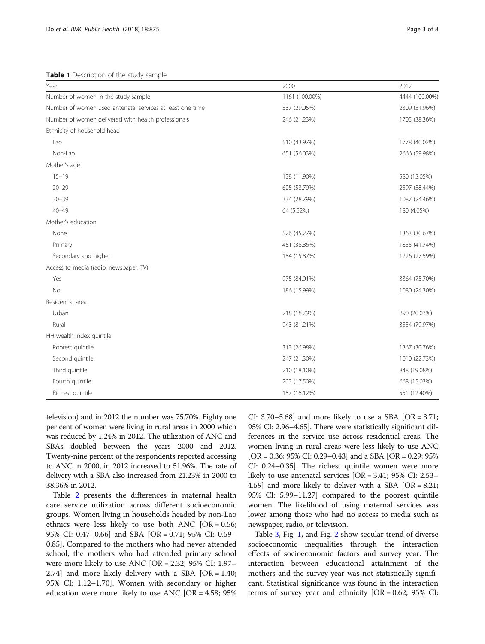<span id="page-2-0"></span>Table 1 Description of the study sample

| Year                                                      | 2000           | 2012           |
|-----------------------------------------------------------|----------------|----------------|
| Number of women in the study sample                       | 1161 (100.00%) | 4444 (100.00%) |
| Number of women used antenatal services at least one time | 337 (29.05%)   | 2309 (51.96%)  |
| Number of women delivered with health professionals       | 246 (21.23%)   | 1705 (38.36%)  |
| Ethnicity of household head                               |                |                |
| Lao                                                       | 510 (43.97%)   | 1778 (40.02%)  |
| Non-Lao                                                   | 651 (56.03%)   | 2666 (59.98%)  |
| Mother's age                                              |                |                |
| $15 - 19$                                                 | 138 (11.90%)   | 580 (13.05%)   |
| $20 - 29$                                                 | 625 (53.79%)   | 2597 (58.44%)  |
| $30 - 39$                                                 | 334 (28.79%)   | 1087 (24.46%)  |
| $40 - 49$                                                 | 64 (5.52%)     | 180 (4.05%)    |
| Mother's education                                        |                |                |
| None                                                      | 526 (45.27%)   | 1363 (30.67%)  |
| Primary                                                   | 451 (38.86%)   | 1855 (41.74%)  |
| Secondary and higher                                      | 184 (15.87%)   | 1226 (27.59%)  |
| Access to media (radio, newspaper, TV)                    |                |                |
| Yes                                                       | 975 (84.01%)   | 3364 (75.70%)  |
| No                                                        | 186 (15.99%)   | 1080 (24.30%)  |
| Residential area                                          |                |                |
| Urban                                                     | 218 (18.79%)   | 890 (20.03%)   |
| Rural                                                     | 943 (81.21%)   | 3554 (79.97%)  |
| HH wealth index quintile                                  |                |                |
| Poorest quintile                                          | 313 (26.98%)   | 1367 (30.76%)  |
| Second quintile                                           | 247 (21.30%)   | 1010 (22.73%)  |
| Third quintile                                            | 210 (18.10%)   | 848 (19.08%)   |
| Fourth quintile                                           | 203 (17.50%)   | 668 (15.03%)   |
| Richest quintile                                          | 187 (16.12%)   | 551 (12.40%)   |

television) and in 2012 the number was 75.70%. Eighty one per cent of women were living in rural areas in 2000 which was reduced by 1.24% in 2012. The utilization of ANC and SBAs doubled between the years 2000 and 2012. Twenty-nine percent of the respondents reported accessing to ANC in 2000, in 2012 increased to 51.96%. The rate of delivery with a SBA also increased from 21.23% in 2000 to 38.36% in 2012.

Table [2](#page-3-0) presents the differences in maternal health care service utilization across different socioeconomic groups. Women living in households headed by non-Lao ethnics were less likely to use both ANC [OR = 0.56; 95% CI: 0.47–0.66] and SBA [OR = 0.71; 95% CI: 0.59– 0.85]. Compared to the mothers who had never attended school, the mothers who had attended primary school were more likely to use ANC [OR = 2.32; 95% CI: 1.97– 2.74] and more likely delivery with a SBA [OR = 1.40; 95% CI: 1.12–1.70]. Women with secondary or higher education were more likely to use ANC  $[OR = 4.58; 95\%]$ 

CI: 3.70–5.68] and more likely to use a SBA  $[OR = 3.71;$ 95% CI: 2.96–4.65]. There were statistically significant differences in the service use across residential areas. The women living in rural areas were less likely to use ANC  $[OR = 0.36; 95\% CI: 0.29 - 0.43]$  and a SBA  $[OR = 0.29; 95\%]$ CI: 0.24–0.35]. The richest quintile women were more likely to use antenatal services [OR = 3.41; 95% CI: 2.53– 4.59] and more likely to deliver with a SBA [OR = 8.21; 95% CI: 5.99–11.27] compared to the poorest quintile women. The likelihood of using maternal services was lower among those who had no access to media such as newspaper, radio, or television.

Table [3,](#page-4-0) Fig. [1](#page-4-0), and Fig. [2](#page-5-0) show secular trend of diverse socioeconomic inequalities through the interaction effects of socioeconomic factors and survey year. The interaction between educational attainment of the mothers and the survey year was not statistically significant. Statistical significance was found in the interaction terms of survey year and ethnicity  $[OR = 0.62; 95\% \text{ CI}:$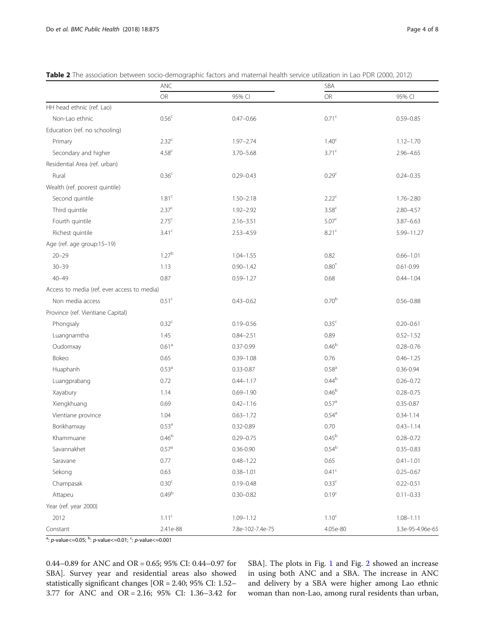|                                             | ANC               |                  | SBA               |                  |
|---------------------------------------------|-------------------|------------------|-------------------|------------------|
|                                             | <b>OR</b>         | 95% CI           | <b>OR</b>         | 95% CI           |
| HH head ethnic (ref. Lao)                   |                   |                  |                   |                  |
| Non-Lao ethnic                              | 0.56 <sup>c</sup> | $0.47 - 0.66$    | 0.71 <sup>c</sup> | $0.59 - 0.85$    |
| Education (ref. no schooling)               |                   |                  |                   |                  |
| Primary                                     | 2.32 <sup>c</sup> | $1.97 - 2.74$    | 1.40 <sup>c</sup> | $1.12 - 1.70$    |
| Secondary and higher                        | 4.58 <sup>c</sup> | $3.70 - 5.68$    | 3.71 <sup>c</sup> | $2.96 - 4.65$    |
| Residential Area (ref. urban)               |                   |                  |                   |                  |
| Rural                                       | 0.36 <sup>c</sup> | $0.29 - 0.43$    | 0.29 <sup>c</sup> | $0.24 - 0.35$    |
| Wealth (ref. poorest quintile)              |                   |                  |                   |                  |
| Second quintile                             | 1.81 <sup>c</sup> | $1.50 - 2.18$    | 2.22 <sup>c</sup> | $1.76 - 2.80$    |
| Third quintile                              | 2.37 <sup>c</sup> | $1.92 - 2.92$    | 3.58 <sup>c</sup> | $2.80 - 4.57$    |
| Fourth quintile                             | 2.75 <sup>c</sup> | $2.16 - 3.51$    | 5.07 <sup>c</sup> | $3.87 - 6.63$    |
| Richest quintile                            | 3.41 <sup>c</sup> | $2.53 - 4.59$    | 8.21 <sup>c</sup> | 5.99-11.27       |
| Age (ref. age group:15-19)                  |                   |                  |                   |                  |
| $20 - 29$                                   | 1.27 <sup>b</sup> | $1.04 - 1.55$    | 0.82              | $0.66 - 1.01$    |
| $30 - 39$                                   | 1.13              | $0.90 - 1.42$    | $0.80*$           | $0.61 - 0.99$    |
| $40 - 49$                                   | 0.87              | $0.59 - 1.27$    | 0.68              | $0.44 - 1.04$    |
| Access to media (ref. ever access to media) |                   |                  |                   |                  |
| Non media access                            | 0.51 <sup>c</sup> | $0.43 - 0.62$    | 0.70 <sup>b</sup> | $0.56 - 0.88$    |
| Province (ref. Vientiane Capital)           |                   |                  |                   |                  |
| Phongsaly                                   | 0.32 <sup>c</sup> | $0.19 - 0.56$    | 0.35 <sup>c</sup> | $0.20 - 0.61$    |
| Luangnamtha                                 | 1.45              | $0.84 - 2.51$    | 0.89              | $0.52 - 1.52$    |
| Oudomxay                                    | 0.61 <sup>a</sup> | $0.37 - 0.99$    | 0.46 <sup>b</sup> | $0.28 - 0.76$    |
| Bokeo                                       | 0.65              | $0.39 - 1.08$    | 0.76              | $0.46 - 1.25$    |
| Huaphanh                                    | 0.53 <sup>a</sup> | $0.33 - 0.87$    | $0.58^{a}$        | $0.36 - 0.94$    |
| Luangprabang                                | 0.72              | $0.44 - 1.17$    | $0.44^{b}$        | $0.26 - 0.72$    |
| Xayabury                                    | 1.14              | $0.69 - 1.90$    | 0.46 <sup>b</sup> | $0.28 - 0.75$    |
| Xiengkhuang                                 | 0.69              | $0.42 - 1.16$    | 0.57 <sup>a</sup> | $0.35 - 0.87$    |
| Vientiane province                          | 1.04              | $0.63 - 1.72$    | $0.54^{\circ}$    | $0.34 - 1.14$    |
| Borikhamxay                                 | 0.53 <sup>a</sup> | 0.32-0.89        | 0.70              | $0.43 - 1.14$    |
| Khammuane                                   | 0.46 <sup>b</sup> | $0.29 - 0.75$    | 0.45 <sup>b</sup> | $0.28 - 0.72$    |
| Savannakhet                                 | $0.57^{\circ}$    | $0.36 - 0.90$    | $0.54^{\rm b}$    | $0.35 - 0.83$    |
| Saravane                                    | 0.77              | $0.48 - 1.22$    | 0.65              | $0.41 - 1.01$    |
| Sekong                                      | 0.63              | $0.38 - 1.01$    | $0.41^{\circ}$    | $0.25 - 0.67$    |
| Champasak                                   | 0.30 <sup>c</sup> | $0.19 - 0.48$    | 0.33 <sup>c</sup> | $0.22 - 0.51$    |
| Attapeu                                     | 0.49 <sup>b</sup> | $0.30 - 0.82$    | 0.19 <sup>c</sup> | $0.11 - 0.33$    |
| Year (ref. year 2000)                       |                   |                  |                   |                  |
| 2012                                        | 1.11 <sup>c</sup> | $1.09 - 1.12$    | 1.10 <sup>c</sup> | $1.08 - 1.11$    |
| Constant                                    | 2.41e-88          | 7.8e-102-7.4e-75 | 4.05e-80          | 3.3e-95-4.96e-65 |

<span id="page-3-0"></span>Table 2 The association between socio-demographic factors and maternal health service utilization in Lao PDR (2000, 2012)

<sup>a</sup>: *p*-value<=0.05; <sup>b</sup>: *p*-value<=0.01; <sup>c</sup>: *p*-value<=0.001

0.44–0.89 for ANC and OR = 0.65; 95% CI: 0.44–0.97 for SBA]. Survey year and residential areas also showed statistically significant changes [OR = 2.40; 95% CI: 1.52– 3.77 for ANC and OR = 2.16; 95% CI: 1.36–3.42 for SBA]. The plots in Fig. [1](#page-4-0) and Fig. [2](#page-5-0) showed an increase in using both ANC and a SBA. The increase in ANC and delivery by a SBA were higher among Lao ethnic woman than non-Lao, among rural residents than urban,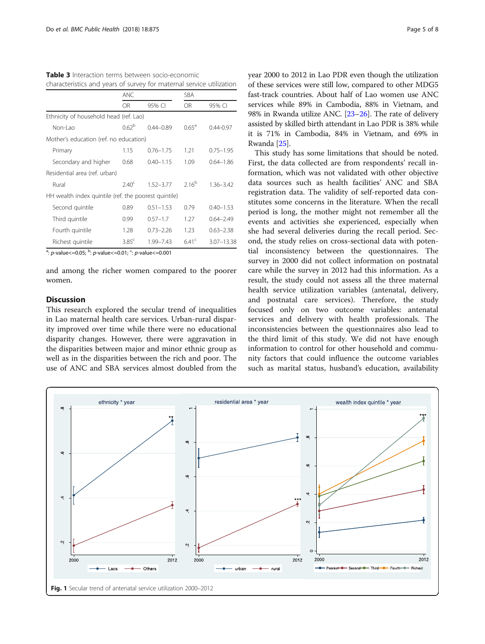<span id="page-4-0"></span>Table 3 Interaction terms between socio-economic characteristics and years of survey for maternal service utilization

|                                                                                     | <b>ANC</b>        |               | <b>SBA</b>        |                |
|-------------------------------------------------------------------------------------|-------------------|---------------|-------------------|----------------|
|                                                                                     | OR                | 95% CI        | <b>OR</b>         | 95% CI         |
| Ethnicity of household head (ref. Lao)                                              |                   |               |                   |                |
| Non-Lao                                                                             | 0.62 <sup>b</sup> | $0.44 - 0.89$ | $0.65^{\rm a}$    | $0.44 - 0.97$  |
| Mother's education (ref. no education)                                              |                   |               |                   |                |
| Primary                                                                             | 1.15              | $0.76 - 1.75$ | 1.21              | $0.75 - 1.95$  |
| Secondary and higher                                                                | 0.68              | $0.40 - 1.15$ | 1.09              | $0.64 - 1.86$  |
| Residential area (ref. urban)                                                       |                   |               |                   |                |
| Rural                                                                               | $2.40^{\circ}$    | $1.52 - 3.77$ | $2.16^{b}$        | $1.36 - 3.42$  |
| HH wealth index quintile (ref. the poorest quintile)                                |                   |               |                   |                |
| Second quintile                                                                     | 0.89              | $0.51 - 1.53$ | 0.79              | $0.40 - 1.53$  |
| Third quintile                                                                      | 0.99              | $0.57 - 1.7$  | 1.27              | $0.64 - 2.49$  |
| Fourth quintile                                                                     | 1.28              | $0.73 - 2.26$ | 1.23              | $0.63 - 2.38$  |
| Richest quintile<br>$\cdot$ $\cdot$ $\cdot$ $\cdot$ $\cdot$ $\cdot$ $\cdot$ $\cdot$ | 3.85 <sup>c</sup> | 1.99-7.43     | 6.41 <sup>c</sup> | $3.07 - 13.38$ |

<sup>a</sup>: *p*-value<=0.05; <sup>b</sup>: *p*-value<=0.01; <sup>c</sup>: *p*-value<=0.001

and among the richer women compared to the poorer women.

## Discussion

This research explored the secular trend of inequalities in Lao maternal health care services. Urban-rural disparity improved over time while there were no educational disparity changes. However, there were aggravation in the disparities between major and minor ethnic group as well as in the disparities between the rich and poor. The use of ANC and SBA services almost doubled from the year 2000 to 2012 in Lao PDR even though the utilization of these services were still low, compared to other MDG5 fast-track countries. About half of Lao women use ANC services while 89% in Cambodia, 88% in Vietnam, and 98% in Rwanda utilize ANC. [\[23](#page-6-0)–[26](#page-6-0)]. The rate of delivery assisted by skilled birth attendant in Lao PDR is 38% while it is 71% in Cambodia, 84% in Vietnam, and 69% in Rwanda [\[25\]](#page-6-0).

This study has some limitations that should be noted. First, the data collected are from respondents' recall information, which was not validated with other objective data sources such as health facilities' ANC and SBA registration data. The validity of self-reported data constitutes some concerns in the literature. When the recall period is long, the mother might not remember all the events and activities she experienced, especially when she had several deliveries during the recall period. Second, the study relies on cross-sectional data with potential inconsistency between the questionnaires. The survey in 2000 did not collect information on postnatal care while the survey in 2012 had this information. As a result, the study could not assess all the three maternal health service utilization variables (antenatal, delivery, and postnatal care services). Therefore, the study focused only on two outcome variables: antenatal services and delivery with health professionals. The inconsistencies between the questionnaires also lead to the third limit of this study. We did not have enough information to control for other household and community factors that could influence the outcome variables such as marital status, husband's education, availability

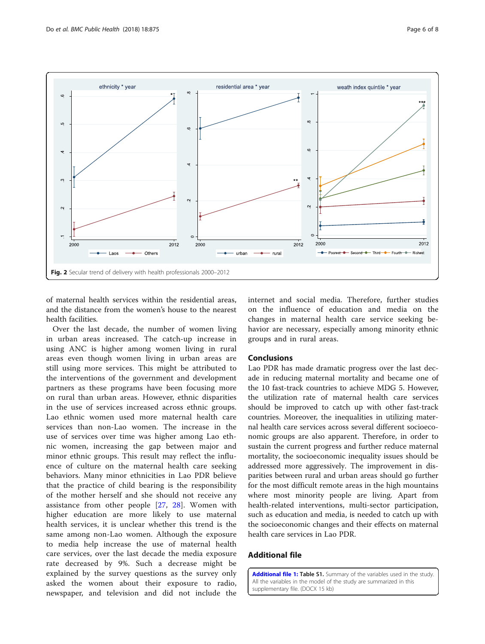<span id="page-5-0"></span>

of maternal health services within the residential areas, and the distance from the women's house to the nearest health facilities.

Over the last decade, the number of women living in urban areas increased. The catch-up increase in using ANC is higher among women living in rural areas even though women living in urban areas are still using more services. This might be attributed to the interventions of the government and development partners as these programs have been focusing more on rural than urban areas. However, ethnic disparities in the use of services increased across ethnic groups. Lao ethnic women used more maternal health care services than non-Lao women. The increase in the use of services over time was higher among Lao ethnic women, increasing the gap between major and minor ethnic groups. This result may reflect the influence of culture on the maternal health care seeking behaviors. Many minor ethnicities in Lao PDR believe that the practice of child bearing is the responsibility of the mother herself and she should not receive any assistance from other people [[27,](#page-7-0) [28\]](#page-7-0). Women with higher education are more likely to use maternal health services, it is unclear whether this trend is the same among non-Lao women. Although the exposure to media help increase the use of maternal health care services, over the last decade the media exposure rate decreased by 9%. Such a decrease might be explained by the survey questions as the survey only asked the women about their exposure to radio, newspaper, and television and did not include the internet and social media. Therefore, further studies on the influence of education and media on the changes in maternal health care service seeking behavior are necessary, especially among minority ethnic groups and in rural areas.

#### **Conclusions**

Lao PDR has made dramatic progress over the last decade in reducing maternal mortality and became one of the 10 fast-track countries to achieve MDG 5. However, the utilization rate of maternal health care services should be improved to catch up with other fast-track countries. Moreover, the inequalities in utilizing maternal health care services across several different socioeconomic groups are also apparent. Therefore, in order to sustain the current progress and further reduce maternal mortality, the socioeconomic inequality issues should be addressed more aggressively. The improvement in disparities between rural and urban areas should go further for the most difficult remote areas in the high mountains where most minority people are living. Apart from health-related interventions, multi-sector participation, such as education and media, is needed to catch up with the socioeconomic changes and their effects on maternal health care services in Lao PDR.

## Additional file

[Additional file 1:](https://doi.org/10.1186/s12889-018-5811-0) Table S1. Summary of the variables used in the study. All the variables in the model of the study are summarized in this supplementary file. (DOCX 15 kb)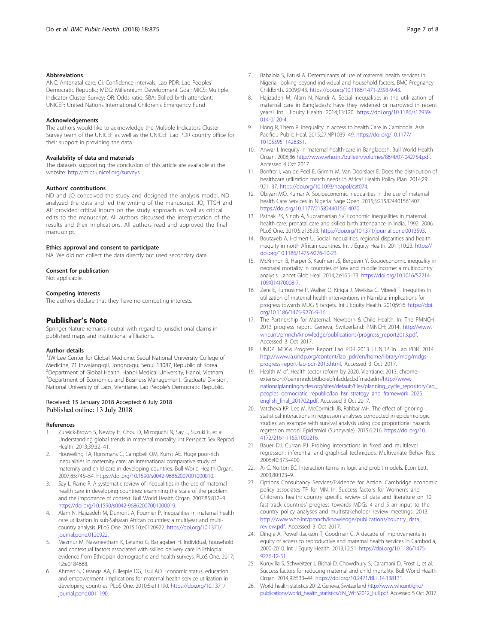#### <span id="page-6-0"></span>Abbreviations

ANC: Antenatal care; CI: Confidence intervals; Lao PDR: Lao Peoples' Democratic Republic; MDG: Millennium Development Goal; MICS: Multiple Indicator Cluster Survey; OR: Odds ratio; SBA: Skilled birth attendant; UNICEF: United Nations International Children's Emergency Fund

#### Acknowledgements

The authors would like to acknowledge the Multiple Indicators Cluster Survey team of the UNICEF as well as the UNICEF Lao PDR country office for their support in providing the data.

#### Availability of data and materials

The datasets supporting the conclusion of this article are available at the website: <http://mics.unicef.org/surveys>

#### Authors' contributions

ND and JO conceived the study and designed the analysis model. ND analyzed the data and led the writing of the manuscript. JO, TTGH and AP provided critical inputs on the study approach as well as critical edits to the manuscript. All authors discussed the interpretation of the results and their implications. All authors read and approved the final manuscript.

## Ethics approval and consent to participate

NA. We did not collect the data directly but used secondary data.

#### Consent for publication

Not applicable.

#### Competing interests

The authors declare that they have no competing interests.

#### Publisher's Note

Springer Nature remains neutral with regard to jurisdictional claims in published maps and institutional affiliations.

#### Author details

<sup>1</sup>JW Lee Center for Global Medicine, Seoul National University College of Medicine, 71 Ihwajang-gil, Jongno-gu, Seoul 13087, Republic of Korea. 2 Department of Global Health, Hanoi Medical University, Hanoi, Vietnam. <sup>3</sup> Department of Economics and Business Management, Graduate Division, National University of Laos, Vientiane, Lao People's Democratic Republic.

## Received: 15 January 2018 Accepted: 6 July 2018 Published online: 13 July 2018

#### References

- 1. Zureick-Brown S, Newby H, Chou D, Mizoguchi N, Say L, Suzuki E, et al. Understanding global trends in maternal mortality. Int Perspect Sex Reprod Health. 2013;39:32–41.
- 2. Houweling TA, Ronsmans C, Campbell OM, Kunst AE. Huge poor-rich inequalities in maternity care: an international comparative study of maternity and child care in developing countries. Bull World Health Organ. 2007;85:745–54. <https://doi.org/10.1590/s0042-96862007001000010.>
- 3. Say L, Raine R. A systematic review of inequalities in the use of maternal health care in developing countries: examining the scale of the problem and the importance of context. Bull World Health Organ. 2007;85:812–9. <https://doi.org/10.1590/s0042-96862007001000019.>
- 4. Alam N, Hajizadeh M, Dumont A, Fournier P. Inequalities in maternal health care utilization in sub-Saharan African countries: a multiyear and multicountry analysis. PLoS One. 2015;10:e0120922. [https://doi.org/10.1371/](https://doi.org/10.1371/journal.pone.0120922) [journal.pone.0120922](https://doi.org/10.1371/journal.pone.0120922).
- 5. Mezmur M, Navaneetham K, Letamo G, Bariagaber H. Individual, household and contextual factors associated with skilled delivery care in Ethiopia: evidence from Ethiopian demographic and health surveys. PLoS One. 2017; 12:e0184688.
- Ahmed S, Creanga AA, Gillespie DG, Tsui AO. Economic status, education and empowerment: implications for maternal health service utilization in developing countries. PLoS One. 2010;5:e11190. [https://doi.org/10.1371/](https://doi.org/10.1371/journal.pone.0011190) [journal.pone.0011190](https://doi.org/10.1371/journal.pone.0011190).
- 7. Babalola S, Fatusi A. Determinants of use of maternal health services in Nigeria–looking beyond individual and household factors. BMC Pregnancy Childbirth. 2009;9:43. [https://doi.org/10.1186/1471-2393-9-43.](https://doi.org/10.1186/1471-2393-9-43)
- 8. Hajizadeh M, Alam N, Nandi A. Social inequalities in the utili zation of maternal care in Bangladesh: have they widened or narrowed in recent years? Int J Equity Health. 2014;13:120. [https://doi.org/10.1186/s12939-](https://doi.org/10.1186/s12939-014-0120-4) [014-0120-4](https://doi.org/10.1186/s12939-014-0120-4).
- 9. Hong R, Them R. Inequality in access to health Care in Cambodia. Asia Pacific J Public Heal. 2015;27:NP1039–49. [https://doi.org/10.1177/](https://doi.org/10.1177/1010539511428351) [1010539511428351](https://doi.org/10.1177/1010539511428351).
- 10. Anwar I. Inequity in maternal health-care in Bangladesh. Bull World Health Organ. 2008;86 <http://www.who.int/bulletin/volumes/86/4/07-042754.pdf>. Accessed 4 Oct 2017
- 11. Bonfrer I, van de Poel E, Grimm M, Van Doorslaer E. Does the distribution of healthcare utilization match needs in Africa? Health Policy Plan. 2014;29: 921–37. <https://doi.org/10.1093/heapol/czt074>.
- 12. Obiyan MO, Kumar A. Socioeconomic inequalities in the use of maternal health Care Services in Nigeria. Sage Open. 2015;5:215824401561407. [https://doi.org/10.1177/2158244015614070.](https://doi.org/10.1177/2158244015614070)
- 13. Pathak PK, Singh A, Subramanian SV. Economic inequalities in maternal health care: prenatal care and skilled birth attendance in India, 1992–2006. PLoS One. 2010;5:e13593. [https://doi.org/10.1371/journal.pone.0013593.](https://doi.org/10.1371/journal.pone.0013593)
- 14. Boutayeb A, Helmert U. Social inequalities, regional disparities and health inequity in north African countries. Int J Equity Health. 2011;10:23. [https://](https://doi.org/10.1186/1475-9276-10-23) [doi.org/10.1186/1475-9276-10-23.](https://doi.org/10.1186/1475-9276-10-23)
- 15. McKinnon B, Harper S, Kaufman JS, Bergevin Y. Socioeconomic inequality in neonatal mortality in countries of low and middle income: a multicountry analysis. Lancet Glob Heal. 2014;2:e165–73. [https://doi.org/10.1016/S2214-](https://doi.org/10.1016/S2214-109X(14)70008-7) [109X\(14\)70008-7.](https://doi.org/10.1016/S2214-109X(14)70008-7)
- 16. Zere E, Tumusiime P, Walker O, Kirigia J, Mwikisa C, Mbeeli T. Inequities in utilization of maternal health interventions in Namibia: implications for progress towards MDG 5 targets. Int J Equity Health. 2010;9:16. [https://doi.](https://doi.org/10.1186/1475-9276-9-16) [org/10.1186/1475-9276-9-16.](https://doi.org/10.1186/1475-9276-9-16)
- 17. The Partnership for Maternal. Newborn & Child Health. In: The PMNCH 2013 progress report. Geneva, Switzerland: PMNCH; 2014. [http://www.](http://www.who.int/pmnch/knowledge/publications/progress_report2013.pdf) [who.int/pmnch/knowledge/publications/progress\\_report2013.pdf](http://www.who.int/pmnch/knowledge/publications/progress_report2013.pdf). Accessed 3 Oct 2017.
- 18. UNDP. MDGs Progress Report Lao PDR 2013 | UNDP in Lao PDR. 2014. [http://www.la.undp.org/content/lao\\_pdr/en/home/library/mdg/mdgs](http://www.la.undp.org/content/lao_pdr/en/home/library/mdg/mdgs-progress-report-lao-pdr-2013.html)[progress-report-lao-pdr-2013.html.](http://www.la.undp.org/content/lao_pdr/en/home/library/mdg/mdgs-progress-report-lao-pdr-2013.html) Accessed 3 Oct 2017.
- 19. Health M of. Health sector reform by 2020. Vientiane; 2013. chromeextension://oemmndcbldboiebfnladdacbdfmadadm[/http://www.](http://www.nationalplanningcycles.org/sites/default/files/planning_cycle_repository/lao_peoples_democratic_republic/lao_hsr_strategy_and_framework_2025_english_final_201702.pdf) [nationalplanningcycles.org/sites/default/files/planning\\_cycle\\_repository/lao\\_](http://www.nationalplanningcycles.org/sites/default/files/planning_cycle_repository/lao_peoples_democratic_republic/lao_hsr_strategy_and_framework_2025_english_final_201702.pdf) [peoples\\_democratic\\_republic/lao\\_hsr\\_strategy\\_and\\_framework\\_2025\\_](http://www.nationalplanningcycles.org/sites/default/files/planning_cycle_repository/lao_peoples_democratic_republic/lao_hsr_strategy_and_framework_2025_english_final_201702.pdf) [english\\_final\\_201702.pdf](http://www.nationalplanningcycles.org/sites/default/files/planning_cycle_repository/lao_peoples_democratic_republic/lao_hsr_strategy_and_framework_2025_english_final_201702.pdf). Accessed 3 Oct 2017.
- 20. Vatcheva KP, Lee M, McCormick JB, Rahbar MH. The effect of ignoring statistical interactions in regression analyses conducted in epidemiologic studies: an example with survival analysis using cox proportional hazards regression model. Epidemiol (Sunnyvale). 2015;6:216. [https://doi.org/10.](https://doi.org/10.4172/2161-1165.1000216.) [4172/2161-1165.1000216.](https://doi.org/10.4172/2161-1165.1000216.)
- 21. Bauer DJ, Curran PJ. Probing interactions in fixed and multilevel regression: inferential and graphical techniques. Multivariate Behav Res. 2005;40:373–400.
- 22. Ai C, Norton EC. Interaction terms in logit and probit models. Econ Lett. 2003;80:123–9.
- 23. Options Consultancy Services/Evidence for Action. Cambridge economic policy associates TP for MN. In: Success factors for Women's and Children's health: country specific review of data and literature on 10 fast-track countries' progress towards MDGs 4 and 5 an input to the country policy analyses and multistakeholder review meetings; 2013. [http://www.who.int/pmnch/knowledge/publications/country\\_data\\_](http://www.who.int/pmnch/knowledge/publications/country_data_review.pdf) [review.pdf](http://www.who.int/pmnch/knowledge/publications/country_data_review.pdf). Accessed 3 Oct 2017.
- 24. Dingle A, Powell-Jackson T, Goodman C. A decade of improvements in equity of access to reproductive and maternal health services in Cambodia, 2000-2010. Int J Equity Health. 2013;12:51. [https://doi.org/10.1186/1475-](https://doi.org/10.1186/1475-9276-12-51) [9276-12-51](https://doi.org/10.1186/1475-9276-12-51).
- 25. Kuruvilla S, Schweitzer J, Bishai D, Chowdhury S, Caramani D, Frost L, et al. Success factors for reducing maternal and child mortality. Bull World Health Organ. 2014;92:533–44. <https://doi.org/10.2471/BLT.14.138131>.
- 26. World health statistics 2012. Geneva, Switzerland [http://www.who.int/gho/](http://www.who.int/gho/publications/world_health_statistics/EN_WHS2012_Full.pdf) [publications/world\\_health\\_statistics/EN\\_WHS2012\\_Full.pdf.](http://www.who.int/gho/publications/world_health_statistics/EN_WHS2012_Full.pdf) Accessed 5 Oct 2017.